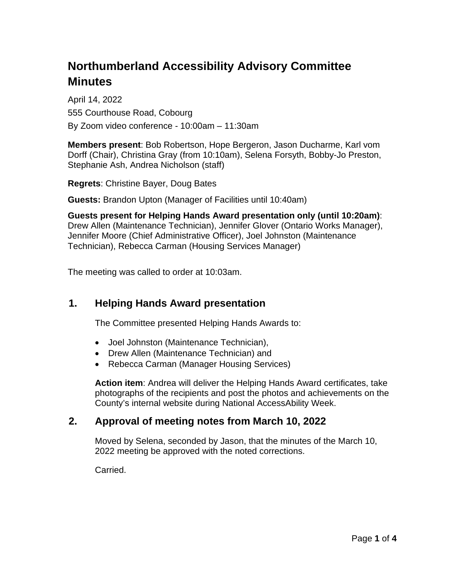# **Northumberland Accessibility Advisory Committee Minutes**

April 14, 2022 555 Courthouse Road, Cobourg By Zoom video conference - 10:00am – 11:30am

**Members present**: Bob Robertson, Hope Bergeron, Jason Ducharme, Karl vom Dorff (Chair), Christina Gray (from 10:10am), Selena Forsyth, Bobby-Jo Preston, Stephanie Ash, Andrea Nicholson (staff)

**Regrets**: Christine Bayer, Doug Bates

**Guests:** Brandon Upton (Manager of Facilities until 10:40am)

**Guests present for Helping Hands Award presentation only (until 10:20am)**: Drew Allen (Maintenance Technician), Jennifer Glover (Ontario Works Manager), Jennifer Moore (Chief Administrative Officer), Joel Johnston (Maintenance Technician), Rebecca Carman (Housing Services Manager)

The meeting was called to order at 10:03am.

# **1. Helping Hands Award presentation**

The Committee presented Helping Hands Awards to:

- Joel Johnston (Maintenance Technician),
- Drew Allen (Maintenance Technician) and
- Rebecca Carman (Manager Housing Services)

**Action item**: Andrea will deliver the Helping Hands Award certificates, take photographs of the recipients and post the photos and achievements on the County's internal website during National AccessAbility Week.

## **2. Approval of meeting notes from March 10, 2022**

Moved by Selena, seconded by Jason, that the minutes of the March 10, 2022 meeting be approved with the noted corrections.

Carried.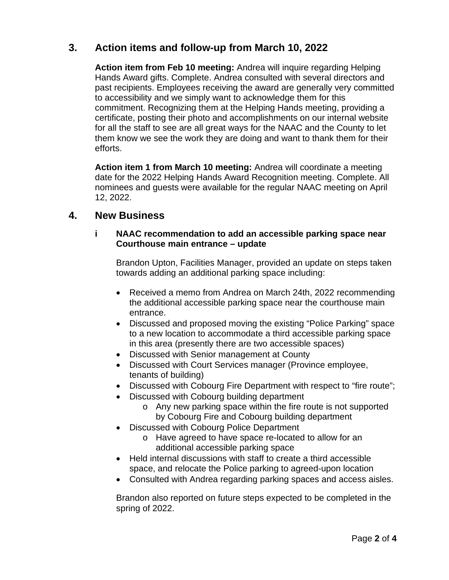# **3. Action items and follow-up from March 10, 2022**

**Action item from Feb 10 meeting:** Andrea will inquire regarding Helping Hands Award gifts. Complete. Andrea consulted with several directors and past recipients. Employees receiving the award are generally very committed to accessibility and we simply want to acknowledge them for this commitment. Recognizing them at the Helping Hands meeting, providing a certificate, posting their photo and accomplishments on our internal website for all the staff to see are all great ways for the NAAC and the County to let them know we see the work they are doing and want to thank them for their efforts.

**Action item 1 from March 10 meeting:** Andrea will coordinate a meeting date for the 2022 Helping Hands Award Recognition meeting. Complete. All nominees and guests were available for the regular NAAC meeting on April 12, 2022.

## **4. New Business**

#### **i NAAC recommendation to add an accessible parking space near Courthouse main entrance – update**

Brandon Upton, Facilities Manager, provided an update on steps taken towards adding an additional parking space including:

- Received a memo from Andrea on March 24th, 2022 recommending the additional accessible parking space near the courthouse main entrance.
- Discussed and proposed moving the existing "Police Parking" space to a new location to accommodate a third accessible parking space in this area (presently there are two accessible spaces)
- Discussed with Senior management at County
- Discussed with Court Services manager (Province employee, tenants of building)
- Discussed with Cobourg Fire Department with respect to "fire route";
- Discussed with Cobourg building department
	- o Any new parking space within the fire route is not supported by Cobourg Fire and Cobourg building department
- Discussed with Cobourg Police Department
	- o Have agreed to have space re-located to allow for an additional accessible parking space
- Held internal discussions with staff to create a third accessible space, and relocate the Police parking to agreed-upon location
- Consulted with Andrea regarding parking spaces and access aisles.

Brandon also reported on future steps expected to be completed in the spring of 2022.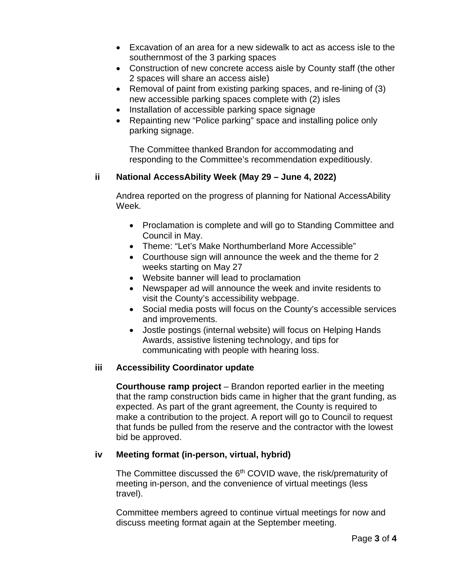- Excavation of an area for a new sidewalk to act as access isle to the southernmost of the 3 parking spaces
- Construction of new concrete access aisle by County staff (the other 2 spaces will share an access aisle)
- Removal of paint from existing parking spaces, and re-lining of (3) new accessible parking spaces complete with (2) isles
- Installation of accessible parking space signage
- Repainting new "Police parking" space and installing police only parking signage.

The Committee thanked Brandon for accommodating and responding to the Committee's recommendation expeditiously.

#### **ii National AccessAbility Week (May 29 – June 4, 2022)**

Andrea reported on the progress of planning for National AccessAbility Week.

- Proclamation is complete and will go to Standing Committee and Council in May.
- Theme: "Let's Make Northumberland More Accessible"
- Courthouse sign will announce the week and the theme for 2 weeks starting on May 27
- Website banner will lead to proclamation
- Newspaper ad will announce the week and invite residents to visit the County's accessibility webpage.
- Social media posts will focus on the County's accessible services and improvements.
- Jostle postings (internal website) will focus on Helping Hands Awards, assistive listening technology, and tips for communicating with people with hearing loss.

#### **iii Accessibility Coordinator update**

**Courthouse ramp project** – Brandon reported earlier in the meeting that the ramp construction bids came in higher that the grant funding, as expected. As part of the grant agreement, the County is required to make a contribution to the project. A report will go to Council to request that funds be pulled from the reserve and the contractor with the lowest bid be approved.

#### **iv Meeting format (in-person, virtual, hybrid)**

The Committee discussed the 6<sup>th</sup> COVID wave, the risk/prematurity of meeting in-person, and the convenience of virtual meetings (less travel).

Committee members agreed to continue virtual meetings for now and discuss meeting format again at the September meeting.